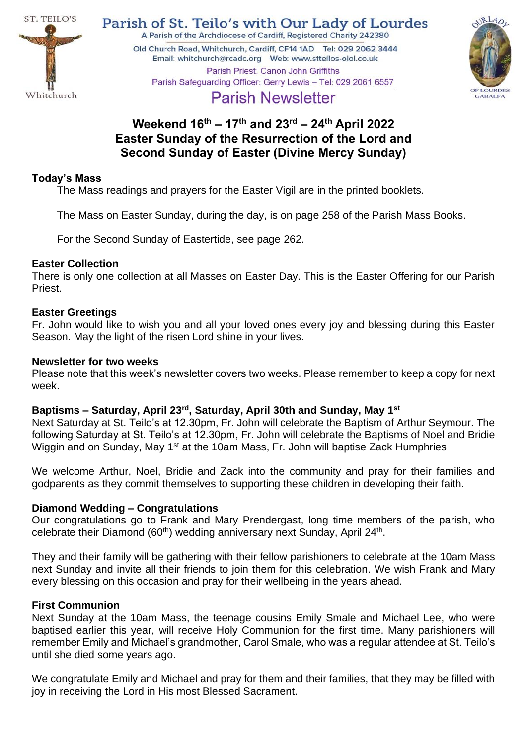

Parish of St. Teilo's with Our Lady of Lourdes A Parish of the Archdiocese of Cardiff, Registered Charity 242380

Old Church Road, Whitchurch, Cardiff, CF14 1AD Tel: 029 2062 3444 Parish Priest: Canon John Griffiths Parish Safeguarding Officer: Gerry Lewis - Tel: 029 2061 6557



# **Parish Newsletter**

# **Weekend 16th – 17 th and 23rd – 24th April 2022 Easter Sunday of the Resurrection of the Lord and Second Sunday of Easter (Divine Mercy Sunday)**

# **Today's Mass**

The Mass readings and prayers for the Easter Vigil are in the printed booklets.

The Mass on Easter Sunday, during the day, is on page 258 of the Parish Mass Books.

For the Second Sunday of Eastertide, see page 262.

# **Easter Collection**

There is only one collection at all Masses on Easter Day. This is the Easter Offering for our Parish Priest.

# **Easter Greetings**

Fr. John would like to wish you and all your loved ones every joy and blessing during this Easter Season. May the light of the risen Lord shine in your lives.

# **Newsletter for two weeks**

Please note that this week's newsletter covers two weeks. Please remember to keep a copy for next week.

# **Baptisms – Saturday, April 23rd , Saturday, April 30th and Sunday, May 1st**

Next Saturday at St. Teilo's at 12.30pm, Fr. John will celebrate the Baptism of Arthur Seymour. The following Saturday at St. Teilo's at 12.30pm, Fr. John will celebrate the Baptisms of Noel and Bridie Wiggin and on Sunday, May 1<sup>st</sup> at the 10am Mass, Fr. John will baptise Zack Humphries

We welcome Arthur, Noel, Bridie and Zack into the community and pray for their families and godparents as they commit themselves to supporting these children in developing their faith.

# **Diamond Wedding – Congratulations**

Our congratulations go to Frank and Mary Prendergast, long time members of the parish, who celebrate their Diamond ( $60<sup>th</sup>$ ) wedding anniversary next Sunday, April 24<sup>th</sup>.

They and their family will be gathering with their fellow parishioners to celebrate at the 10am Mass next Sunday and invite all their friends to join them for this celebration. We wish Frank and Mary every blessing on this occasion and pray for their wellbeing in the years ahead.

# **First Communion**

Next Sunday at the 10am Mass, the teenage cousins Emily Smale and Michael Lee, who were baptised earlier this year, will receive Holy Communion for the first time. Many parishioners will remember Emily and Michael's grandmother, Carol Smale, who was a regular attendee at St. Teilo's until she died some years ago.

We congratulate Emily and Michael and pray for them and their families, that they may be filled with joy in receiving the Lord in His most Blessed Sacrament.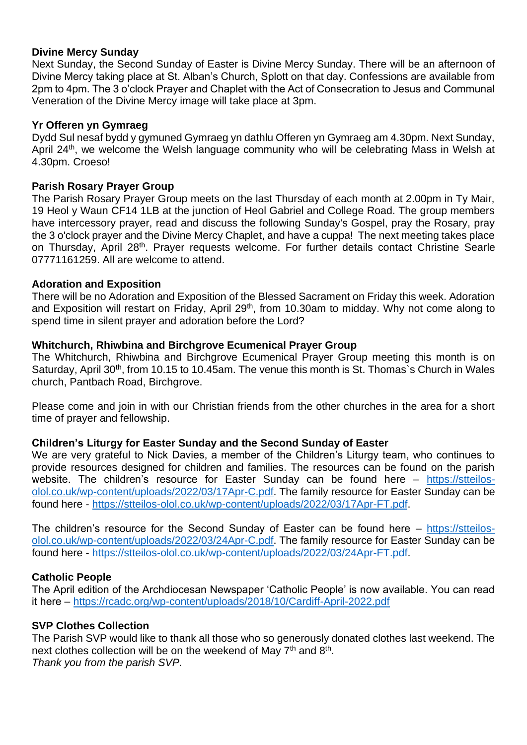# **Divine Mercy Sunday**

Next Sunday, the Second Sunday of Easter is Divine Mercy Sunday. There will be an afternoon of Divine Mercy taking place at St. Alban's Church, Splott on that day. Confessions are available from 2pm to 4pm. The 3 o'clock Prayer and Chaplet with the Act of Consecration to Jesus and Communal Veneration of the Divine Mercy image will take place at 3pm.

#### **Yr Offeren yn Gymraeg**

Dydd Sul nesaf bydd y gymuned Gymraeg yn dathlu Offeren yn Gymraeg am 4.30pm. Next Sunday, April 24<sup>th</sup>, we welcome the Welsh language community who will be celebrating Mass in Welsh at 4.30pm. Croeso!

#### **Parish Rosary Prayer Group**

The Parish Rosary Prayer Group meets on the last Thursday of each month at 2.00pm in Ty Mair, 19 Heol y Waun CF14 1LB at the junction of Heol Gabriel and College Road. The group members have intercessory prayer, read and discuss the following Sunday's Gospel, pray the Rosary, pray the 3 o'clock prayer and the Divine Mercy Chaplet, and have a cuppa! The next meeting takes place on Thursday, April 28th. Prayer requests welcome. For further details contact Christine Searle 07771161259. All are welcome to attend.

#### **Adoration and Exposition**

There will be no Adoration and Exposition of the Blessed Sacrament on Friday this week. Adoration and Exposition will restart on Friday, April 29<sup>th</sup>, from 10.30am to midday. Why not come along to spend time in silent prayer and adoration before the Lord?

# **Whitchurch, Rhiwbina and Birchgrove Ecumenical Prayer Group**

The Whitchurch, Rhiwbina and Birchgrove Ecumenical Prayer Group meeting this month is on Saturday, April 30<sup>th</sup>, from 10.15 to 10.45am. The venue this month is St. Thomas's Church in Wales church, Pantbach Road, Birchgrove.

Please come and join in with our Christian friends from the other churches in the area for a short time of prayer and fellowship.

# **Children's Liturgy for Easter Sunday and the Second Sunday of Easter**

We are very grateful to Nick Davies, a member of the Children's Liturgy team, who continues to provide resources designed for children and families. The resources can be found on the parish website. The children's resource for Easter Sunday can be found here – [https://stteilos](https://stteilos-olol.co.uk/wp-content/uploads/2022/03/17Apr-C.pdf)[olol.co.uk/wp-content/uploads/2022/03/17Apr-C.pdf.](https://stteilos-olol.co.uk/wp-content/uploads/2022/03/17Apr-C.pdf) The family resource for Easter Sunday can be found here - [https://stteilos-olol.co.uk/wp-content/uploads/2022/03/17Apr-FT.pdf.](https://stteilos-olol.co.uk/wp-content/uploads/2022/03/17Apr-FT.pdf)

The children's resource for the Second Sunday of Easter can be found here – [https://stteilos](https://stteilos-olol.co.uk/wp-content/uploads/2022/03/24Apr-C.pdf)[olol.co.uk/wp-content/uploads/2022/03/24Apr-C.pdf.](https://stteilos-olol.co.uk/wp-content/uploads/2022/03/24Apr-C.pdf) The family resource for Easter Sunday can be found here - [https://stteilos-olol.co.uk/wp-content/uploads/2022/03/24Apr-FT.pdf.](https://stteilos-olol.co.uk/wp-content/uploads/2022/03/24Apr-FT.pdf)

# **Catholic People**

The April edition of the Archdiocesan Newspaper 'Catholic People' is now available. You can read it here – <https://rcadc.org/wp-content/uploads/2018/10/Cardiff-April-2022.pdf>

# **SVP Clothes Collection**

The Parish SVP would like to thank all those who so generously donated clothes last weekend. The next clothes collection will be on the weekend of May 7<sup>th</sup> and 8<sup>th</sup>. *Thank you from the parish SVP.*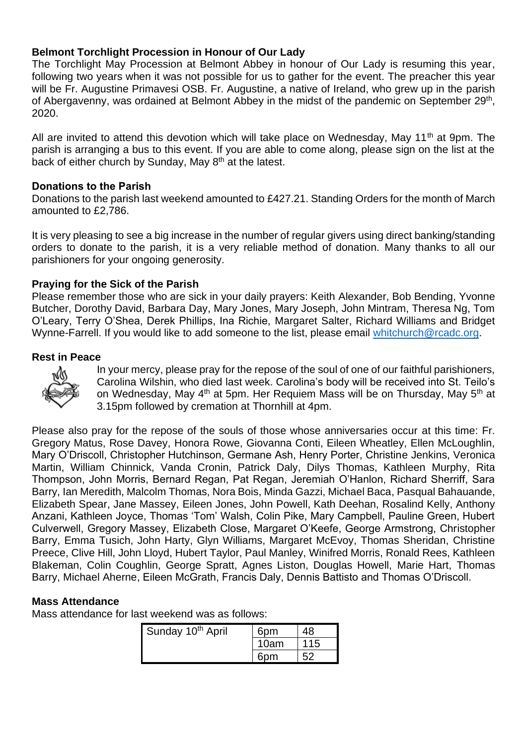# **Belmont Torchlight Procession in Honour of Our Lady**

The Torchlight May Procession at Belmont Abbey in honour of Our Lady is resuming this year, following two years when it was not possible for us to gather for the event. The preacher this year will be Fr. Augustine Primavesi OSB. Fr. Augustine, a native of Ireland, who grew up in the parish of Abergavenny, was ordained at Belmont Abbey in the midst of the pandemic on September 29<sup>th</sup>, 2020.

All are invited to attend this devotion which will take place on Wednesday, May 11<sup>th</sup> at 9pm. The parish is arranging a bus to this event. If you are able to come along, please sign on the list at the back of either church by Sunday, May 8<sup>th</sup> at the latest.

# **Donations to the Parish**

Donations to the parish last weekend amounted to £427.21. Standing Orders for the month of March amounted to £2,786.

It is very pleasing to see a big increase in the number of regular givers using direct banking/standing orders to donate to the parish, it is a very reliable method of donation. Many thanks to all our parishioners for your ongoing generosity.

# **Praying for the Sick of the Parish**

Please remember those who are sick in your daily prayers: Keith Alexander, Bob Bending, Yvonne Butcher, Dorothy David, Barbara Day, Mary Jones, Mary Joseph, John Mintram, Theresa Ng, Tom O'Leary, Terry O'Shea, Derek Phillips, Ina Richie, Margaret Salter, Richard Williams and Bridget Wynne-Farrell. If you would like to add someone to the list, please email [whitchurch@rcadc.org.](mailto:whitchurch@rcadc.org)

#### **Rest in Peace**



In your mercy, please pray for the repose of the soul of one of our faithful parishioners, Carolina Wilshin, who died last week. Carolina's body will be received into St. Teilo's on Wednesday, May 4<sup>th</sup> at 5pm. Her Requiem Mass will be on Thursday, May 5<sup>th</sup> at 3.15pm followed by cremation at Thornhill at 4pm.

Please also pray for the repose of the souls of those whose anniversaries occur at this time: Fr. Gregory Matus, Rose Davey, Honora Rowe, Giovanna Conti, Eileen Wheatley, Ellen McLoughlin, Mary O'Driscoll, Christopher Hutchinson, Germane Ash, Henry Porter, Christine Jenkins, Veronica Martin, William Chinnick, Vanda Cronin, Patrick Daly, Dilys Thomas, Kathleen Murphy, Rita Thompson, John Morris, Bernard Regan, Pat Regan, Jeremiah O'Hanlon, Richard Sherriff, Sara Barry, Ian Meredith, Malcolm Thomas, Nora Bois, Minda Gazzi, Michael Baca, Pasqual Bahauande, Elizabeth Spear, Jane Massey, Eileen Jones, John Powell, Kath Deehan, Rosalind Kelly, Anthony Anzani, Kathleen Joyce, Thomas 'Tom' Walsh, Colin Pike, Mary Campbell, Pauline Green, Hubert Culverwell, Gregory Massey, Elizabeth Close, Margaret O'Keefe, George Armstrong, Christopher Barry, Emma Tusich, John Harty, Glyn Williams, Margaret McEvoy, Thomas Sheridan, Christine Preece, Clive Hill, John Lloyd, Hubert Taylor, Paul Manley, Winifred Morris, Ronald Rees, Kathleen Blakeman, Colin Coughlin, George Spratt, Agnes Liston, Douglas Howell, Marie Hart, Thomas Barry, Michael Aherne, Eileen McGrath, Francis Daly, Dennis Battisto and Thomas O'Driscoll.

# **Mass Attendance**

Mass attendance for last weekend was as follows:

| Sunday 10 <sup>th</sup> April | 6pm  |     |
|-------------------------------|------|-----|
|                               | 10am | 115 |
|                               | 6pm  |     |